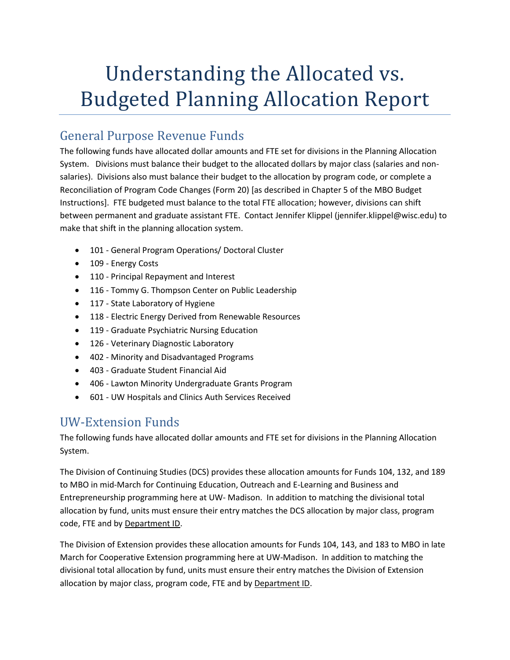# Understanding the Allocated vs. Budgeted Planning Allocation Report

## General Purpose Revenue Funds

The following funds have allocated dollar amounts and FTE set for divisions in the Planning Allocation System. Divisions must balance their budget to the allocated dollars by major class (salaries and nonsalaries). Divisions also must balance their budget to the allocation by program code, or complete a Reconciliation of Program Code Changes (Form 20) [as described in Chapter 5 of the MBO Budget Instructions]. FTE budgeted must balance to the total FTE allocation; however, divisions can shift between permanent and graduate assistant FTE. Contact Jennifer Klippel (jennifer.klippel@wisc.edu) to make that shift in the planning allocation system.

- 101 General Program Operations/ Doctoral Cluster
- 109 Energy Costs
- 110 Principal Repayment and Interest
- 116 Tommy G. Thompson Center on Public Leadership
- 117 State Laboratory of Hygiene
- 118 Electric Energy Derived from Renewable Resources
- 119 Graduate Psychiatric Nursing Education
- 126 Veterinary Diagnostic Laboratory
- 402 Minority and Disadvantaged Programs
- 403 Graduate Student Financial Aid
- 406 Lawton Minority Undergraduate Grants Program
- 601 UW Hospitals and Clinics Auth Services Received

## UW-Extension Funds

The following funds have allocated dollar amounts and FTE set for divisions in the Planning Allocation System.

The Division of Continuing Studies (DCS) provides these allocation amounts for Funds 104, 132, and 189 to MBO in mid-March for Continuing Education, Outreach and E-Learning and Business and Entrepreneurship programming here at UW- Madison. In addition to matching the divisional total allocation by fund, units must ensure their entry matches the DCS allocation by major class, program code, FTE and by Department ID.

The Division of Extension provides these allocation amounts for Funds 104, 143, and 183 to MBO in late March for Cooperative Extension programming here at UW-Madison. In addition to matching the divisional total allocation by fund, units must ensure their entry matches the Division of Extension allocation by major class, program code, FTE and by Department ID.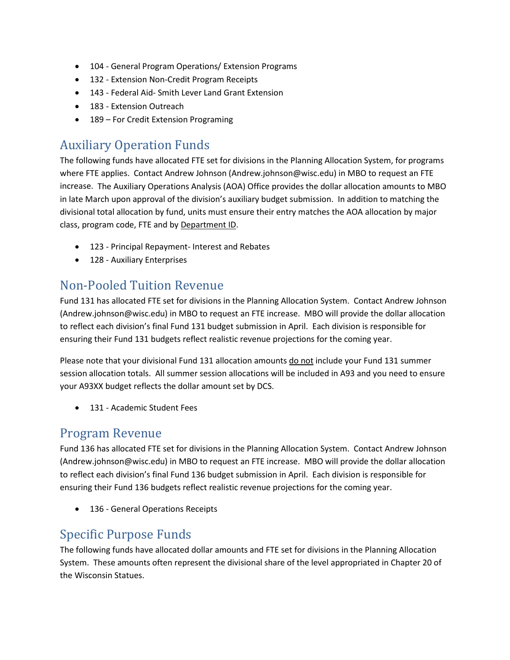- 104 General Program Operations/ Extension Programs
- 132 Extension Non-Credit Program Receipts
- 143 Federal Aid- Smith Lever Land Grant Extension
- 183 Extension Outreach
- 189 For Credit Extension Programing

## Auxiliary Operation Funds

The following funds have allocated FTE set for divisions in the Planning Allocation System, for programs where FTE applies. Contact Andrew Johnson (Andrew.johnson@wisc.edu) in MBO to request an FTE increase. The Auxiliary Operations Analysis (AOA) Office provides the dollar allocation amounts to MBO in late March upon approval of the division's auxiliary budget submission. In addition to matching the divisional total allocation by fund, units must ensure their entry matches the AOA allocation by major class, program code, FTE and by Department ID.

- 123 Principal Repayment- Interest and Rebates
- 128 Auxiliary Enterprises

### Non-Pooled Tuition Revenue

Fund 131 has allocated FTE set for divisions in the Planning Allocation System. Contact Andrew Johnson (Andrew.johnson@wisc.edu) in MBO to request an FTE increase. MBO will provide the dollar allocation to reflect each division's final Fund 131 budget submission in April. Each division is responsible for ensuring their Fund 131 budgets reflect realistic revenue projections for the coming year.

Please note that your divisional Fund 131 allocation amounts do not include your Fund 131 summer session allocation totals. All summer session allocations will be included in A93 and you need to ensure your A93XX budget reflects the dollar amount set by DCS.

• 131 - Academic Student Fees

#### Program Revenue

Fund 136 has allocated FTE set for divisions in the Planning Allocation System. Contact Andrew Johnson (Andrew.johnson@wisc.edu) in MBO to request an FTE increase. MBO will provide the dollar allocation to reflect each division's final Fund 136 budget submission in April. Each division is responsible for ensuring their Fund 136 budgets reflect realistic revenue projections for the coming year.

• 136 - General Operations Receipts

### Specific Purpose Funds

The following funds have allocated dollar amounts and FTE set for divisions in the Planning Allocation System. These amounts often represent the divisional share of the level appropriated in Chapter 20 of the Wisconsin Statues.